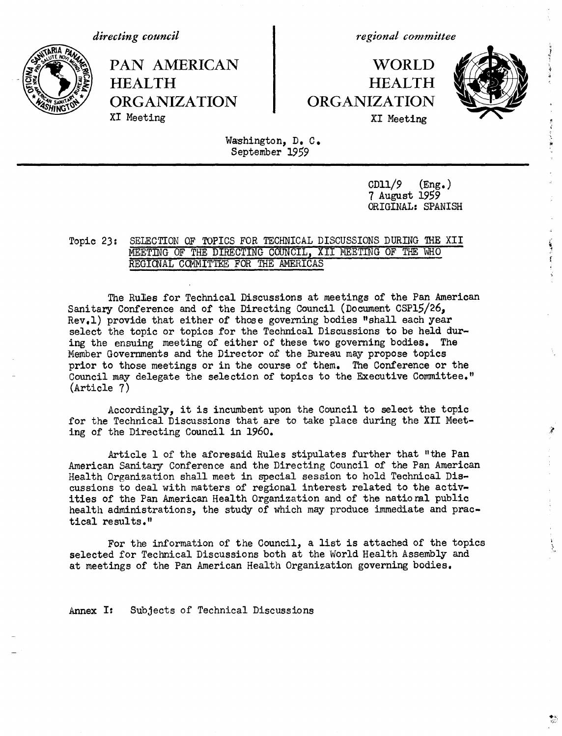*directing council*

PAN AMERICAN | WORLD **HEALTH HEALTH** ORGANIZATION CRGANIZATION

*regional committee*

# XI Meeting XI Meeting



Washington, D. C. September 1959

> $CD11/9$  (Eng.) 7 August 1959 ORIGINAL: SPANISH

# Topic 23: SELECTION OF TOPICS FOR TECHNICAL DISCUSSIONS DURING THE XII MEETING OF THE DIRECTING COUNCIL, XII MEETING OF THE WHO REGIONAL COMMITTEE FOR THE AMERICAS

The Rules for Technical Discussions at meetings of the Pan American Sanitary Conference and of the Directing Council (Document CSP15/26, Rev.1) provide that either of those governing bodies "shall each year select the topic or topics for the Technical Discussions to be held during the ensuing meeting of either of these two governing bodies. The Member Governments and the Director of the Bureau may propose topics prior to those meetings or in the course of them. The Conference or the Council may delegate the selection of topics to the Executive Committee." (Article 7)

Accordingly, it is incumbent upon the Council to select the topic for the Technical Discussions that are to take place during the XII Meeting of the Directing Council in 1960.

Article 1 of the aforesaid Rules stipulates further that "the Pan American Sanitary Conference and the Directing Council of the Pan American Health Organization shall meet in special session to hold Technical Discussions to deal with matters of regional interest related to the activities of the Pan American Health Organization and of the national public health administrations, the study of which may produce immediate and practical results."

For the information of the Council, a list is attached of the topics selected for Technical Discussions both at the World Health Assembly and at meetings of the Pan American Health Organization governing bodies.

**Annex** I: Subjects of Technical Discussions

 $\frac{1}{\sqrt{2}}$ 

**CONTRACTOR** 

Ŷ.

 $\frac{1}{4}$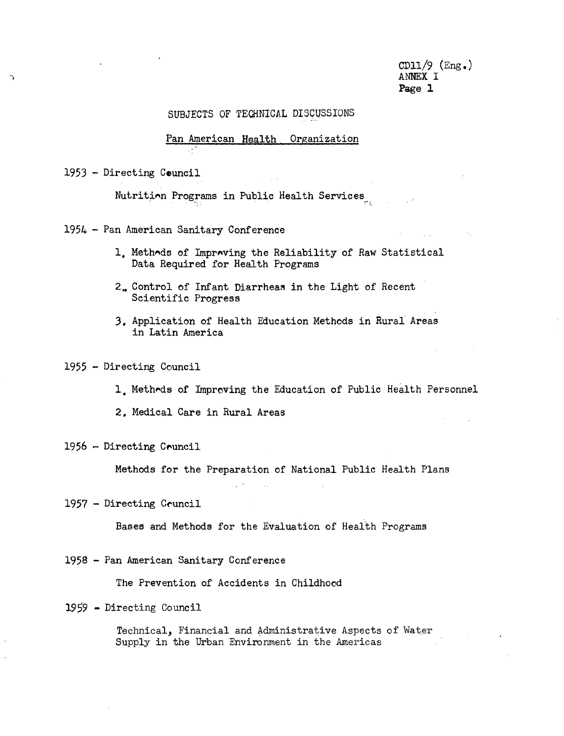$CD11/9$  (Eng.) ANNEX I Page **1**

and the state

### SUBJECTS OF TECHNICAL DISCUSSIONS

# Pan American Health Organization

1953 - Directing Council

Nutrition Programs in Public Health Services

1954 - Pan American Sanitary Conference

- 1. Methods of Improving the Reliability of Raw Statistical Data Required for Health Programs
- 2,. Control of Infant Diarrheas in the Light of Recent Scientific Progress
- 3. Application of Health Education Methods in Rural Areas in Latin America

# 1955 - Directing Council

- 1, Methods of Improving the Education of Public Health Personnel
- 2. Medical Care in Rural Areas

## 1956 - Directing Ceuncil

Methods for the Preparation of National Public Health Plans

### 1957 - Directing Ceuncil

Bases and Methods for the Evaluation of Health Programs

 $\mathcal{L}_{\mathrm{max}}$ 

### 1958 - Pan American Sanitary Conference

The Prevention of Accidents in Childhood

### 1959 - Directing Council

Technical, Financial and Administrative Aspects of Water Supply in the Urban Environment in the Americas